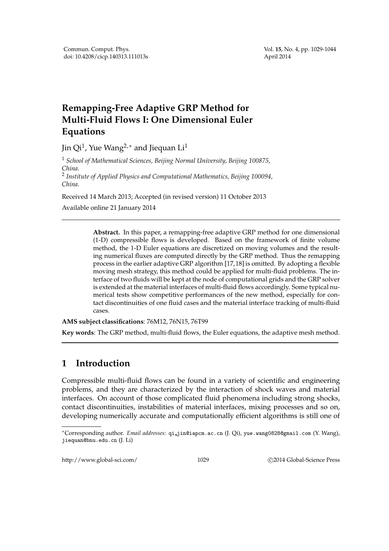# **Remapping-Free Adaptive GRP Method for Multi-Fluid Flows I: One Dimensional Euler Equations**

Jin Qi $^1$ , Yue Wang $^{2,*}$  and Jiequan  $\operatorname{Li}^1$ 

<sup>1</sup> *School of Mathematical Sciences, Beijing Normal University, Beijing 100875, China.*

2 *Institute of Applied Physics and Computational Mathematics, Beijing 100094, China.*

Received 14 March 2013; Accepted (in revised version) 11 October 2013

Available online 21 January 2014

**Abstract.** In this paper, a remapping-free adaptive GRP method for one dimensional (1-D) compressible flows is developed. Based on the framework of finite volume method, the 1-D Euler equations are discretized on moving volumes and the resulting numerical fluxes are computed directly by the GRP method. Thus the remapping process in the earlier adaptive GRP algorithm [17,18] is omitted. By adopting a flexible moving mesh strategy, this method could be applied for multi-fluid problems. The interface of two fluids will be kept at the node of computational grids and the GRP solver is extended at the material interfaces of multi-fluid flows accordingly. Some typical numerical tests show competitive performances of the new method, especially for contact discontinuities of one fluid cases and the material interface tracking of multi-fluid cases.

**AMS subject classifications**: 76M12, 76N15, 76T99

**Key words**: The GRP method, multi-fluid flows, the Euler equations, the adaptive mesh method.

# **1 Introduction**

Compressible multi-fluid flows can be found in a variety of scientific and engineering problems, and they are characterized by the interaction of shock waves and material interfaces. On account of those complicated fluid phenomena including strong shocks, contact discontinuities, instabilities of material interfaces, mixing processes and so on, developing numerically accurate and computationally efficient algorithms is still one of

http://www.global-sci.com/ 1029 c 2014 Global-Science Press

<sup>∗</sup>Corresponding author. *Email addresses:* qi jin@iapcm.ac.cn (J. Qi), yue.wang0828@gmail.com (Y. Wang), jiequan@bnu.edu.cn (J. Li)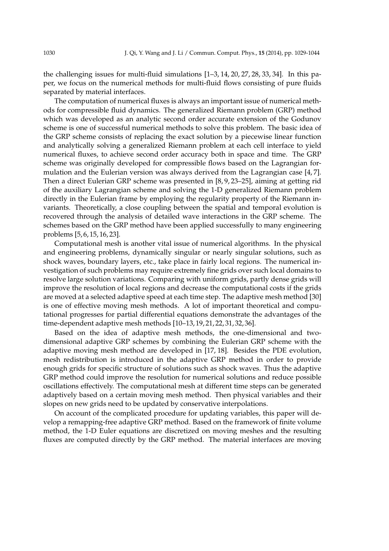the challenging issues for multi-fluid simulations [1–3, 14, 20, 27, 28, 33, 34]. In this paper, we focus on the numerical methods for multi-fluid flows consisting of pure fluids separated by material interfaces.

The computation of numerical fluxes is always an important issue of numerical methods for compressible fluid dynamics. The generalized Riemann problem (GRP) method which was developed as an analytic second order accurate extension of the Godunov scheme is one of successful numerical methods to solve this problem. The basic idea of the GRP scheme consists of replacing the exact solution by a piecewise linear function and analytically solving a generalized Riemann problem at each cell interface to yield numerical fluxes, to achieve second order accuracy both in space and time. The GRP scheme was originally developed for compressible flows based on the Lagrangian formulation and the Eulerian version was always derived from the Lagrangian case [4, 7]. Then a direct Eulerian GRP scheme was presented in [8, 9, 23–25], aiming at getting rid of the auxiliary Lagrangian scheme and solving the 1-D generalized Riemann problem directly in the Eulerian frame by employing the regularity property of the Riemann invariants. Theoretically, a close coupling between the spatial and temporal evolution is recovered through the analysis of detailed wave interactions in the GRP scheme. The schemes based on the GRP method have been applied successfully to many engineering problems [5, 6, 15, 16, 23].

Computational mesh is another vital issue of numerical algorithms. In the physical and engineering problems, dynamically singular or nearly singular solutions, such as shock waves, boundary layers, etc., take place in fairly local regions. The numerical investigation of such problems may require extremely fine grids over such local domains to resolve large solution variations. Comparing with uniform grids, partly dense grids will improve the resolution of local regions and decrease the computational costs if the grids are moved at a selected adaptive speed at each time step. The adaptive mesh method [30] is one of effective moving mesh methods. A lot of important theoretical and computational progresses for partial differential equations demonstrate the advantages of the time-dependent adaptive mesh methods [10–13, 19, 21, 22, 31, 32, 36].

Based on the idea of adaptive mesh methods, the one-dimensional and twodimensional adaptive GRP schemes by combining the Eulerian GRP scheme with the adaptive moving mesh method are developed in [17, 18]. Besides the PDE evolution, mesh redistribution is introduced in the adaptive GRP method in order to provide enough grids for specific structure of solutions such as shock waves. Thus the adaptive GRP method could improve the resolution for numerical solutions and reduce possible oscillations effectively. The computational mesh at different time steps can be generated adaptively based on a certain moving mesh method. Then physical variables and their slopes on new grids need to be updated by conservative interpolations.

On account of the complicated procedure for updating variables, this paper will develop a remapping-free adaptive GRP method. Based on the framework of finite volume method, the 1-D Euler equations are discretized on moving meshes and the resulting fluxes are computed directly by the GRP method. The material interfaces are moving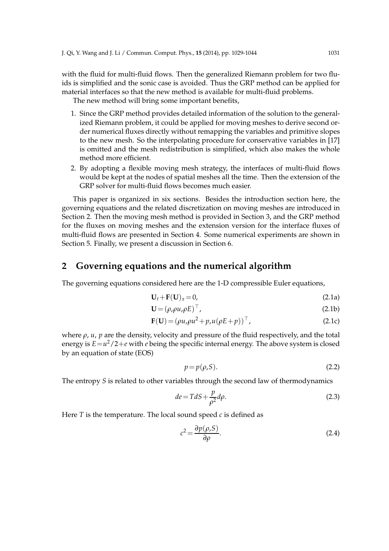with the fluid for multi-fluid flows. Then the generalized Riemann problem for two fluids is simplified and the sonic case is avoided. Thus the GRP method can be applied for material interfaces so that the new method is available for multi-fluid problems.

The new method will bring some important benefits,

- 1. Since the GRP method provides detailed information of the solution to the generalized Riemann problem, it could be applied for moving meshes to derive second order numerical fluxes directly without remapping the variables and primitive slopes to the new mesh. So the interpolating procedure for conservative variables in [17] is omitted and the mesh redistribution is simplified, which also makes the whole method more efficient.
- 2. By adopting a flexible moving mesh strategy, the interfaces of multi-fluid flows would be kept at the nodes of spatial meshes all the time. Then the extension of the GRP solver for multi-fluid flows becomes much easier.

This paper is organized in six sections. Besides the introduction section here, the governing equations and the related discretization on moving meshes are introduced in Section 2. Then the moving mesh method is provided in Section 3, and the GRP method for the fluxes on moving meshes and the extension version for the interface fluxes of multi-fluid flows are presented in Section 4. Some numerical experiments are shown in Section 5. Finally, we present a discussion in Section 6.

### **2 Governing equations and the numerical algorithm**

The governing equations considered here are the 1-D compressible Euler equations,

$$
\mathbf{U}_t + \mathbf{F}(\mathbf{U})_x = 0,\tag{2.1a}
$$

$$
\mathbf{U} = (\rho, \rho u, \rho E)^{\top},\tag{2.1b}
$$

$$
\mathbf{F}(\mathbf{U}) = (\rho u, \rho u^2 + p, u(\rho E + p))^\top,
$$
\n(2.1c)

where  $\rho$ ,  $u$ ,  $p$  are the density, velocity and pressure of the fluid respectively, and the total energy is  $E = u^2/2 + e$  with *e* being the specific internal energy. The above system is closed by an equation of state (EOS)

$$
p = p(\rho, S). \tag{2.2}
$$

The entropy *S* is related to other variables through the second law of thermodynamics

$$
de = TdS + \frac{p}{\rho^2}d\rho.
$$
\n(2.3)

Here *T* is the temperature. The local sound speed *c* is defined as

$$
c^2 = \frac{\partial p(\rho, S)}{\partial \rho}.
$$
 (2.4)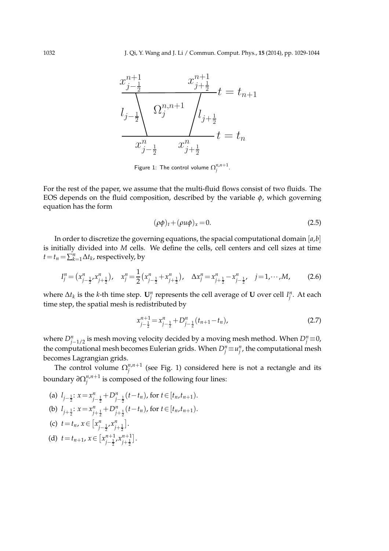

Figure 1: The control volume  $\Omega^{n,n+1}_j.$ 

For the rest of the paper, we assume that the multi-fluid flows consist of two fluids. The EOS depends on the fluid composition, described by the variable  $\phi$ , which governing equation has the form

$$
(\rho \phi)_t + (\rho u \phi)_x = 0. \tag{2.5}
$$

In order to discretize the governing equations, the spacial computational domain [*a*,*b*] is initially divided into *M* cells. We define the cells, cell centers and cell sizes at time  $t = t_n = \sum_{k=1}^n \Delta t_k$ , respectively, by

$$
I_j^n = (x_{j-\frac{1}{2}}^n, x_{j+\frac{1}{2}}^n), \quad x_j^n = \frac{1}{2} (x_{j-\frac{1}{2}}^n + x_{j+\frac{1}{2}}^n), \quad \Delta x_j^n = x_{j+\frac{1}{2}}^n - x_{j-\frac{1}{2}}^n, \quad j = 1, \cdots, M,
$$
 (2.6)

where  $\Delta t_k$  is the *k*-th time step.  $\mathbf{U}_j^n$  represents the cell average of **U** over cell  $I_j^n$ . At each time step, the spatial mesh is redistributed by

$$
x_{j-\frac{1}{2}}^{n+1} = x_{j-\frac{1}{2}}^n + D_{j-\frac{1}{2}}^n(t_{n+1} - t_n),
$$
\n(2.7)

where  $D_{j-1/2}^n$  is mesh moving velocity decided by a moving mesh method. When  $D_j^n \equiv 0$ , the computational mesh becomes Eulerian grids. When  $D_j^n \equiv u_j^n$ , the computational mesh becomes Lagrangian grids.

The control volume  $\Omega_i^{n,n+1}$  $j^{n,n+1}$  (see Fig. 1) considered here is not a rectangle and its boundary *∂*Ω *n*,*n*+1  $j^{n,n+1}$  is composed of the following four lines:

(a) 
$$
l_{j-\frac{1}{2}}: x = x_{j-\frac{1}{2}}^n + D_{j-\frac{1}{2}}^n(t - t_n)
$$
, for  $t \in [t_n, t_{n+1})$ .  
\n(b)  $l_{j+\frac{1}{2}}: x = x_{j+\frac{1}{2}}^n + D_{j+\frac{1}{2}}^n(t - t_n)$ , for  $t \in [t_n, t_{n+1})$ .  
\n(c)  $t = t_n, x \in [x_{j-\frac{1}{2}}^n, x_{j+\frac{1}{2}}^n]$ .  
\n(d)  $t = t_{n+1}, x \in [x_{j-\frac{1}{2}}^{n+1}, x_{j+\frac{1}{2}}^n]$ .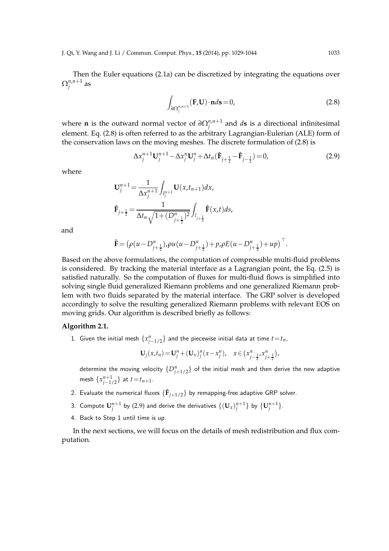Then the Euler equations (2.1a) can be discretized by integrating the equations over  $\Omega_i^{n,n+1}$ *j* as

$$
\int_{\partial \Omega_j^{n,n+1}} (\mathbf{F}, \mathbf{U}) \cdot \mathbf{n} d\mathbf{s} = 0,
$$
\n(2.8)

where **n** is the outward normal vector of  $\partial \Omega_i^{n,n+1}$  $j^{n,n+1}$  and *d***s** is a directional infinitesimal element. Eq. (2.8) is often referred to as the arbitrary Lagrangian-Eulerian (ALE) form of the conservation laws on the moving meshes. The discrete formulation of (2.8) is

$$
\Delta x_j^{n+1} \mathbf{U}_j^{n+1} - \Delta x_j^n \mathbf{U}_j^n + \Delta t_n (\hat{\mathbf{F}}_{j+\frac{1}{2}} - \hat{\mathbf{F}}_{j-\frac{1}{2}}) = 0, \tag{2.9}
$$

where

$$
\mathbf{U}_{j}^{n+1} = \frac{1}{\Delta x_{j}^{n+1}} \int_{I_{j}^{n+1}} \mathbf{U}(x, t_{n+1}) dx,
$$
  

$$
\hat{\mathbf{F}}_{j+\frac{1}{2}} = \frac{1}{\Delta t_{n} \sqrt{1 + (D_{j+\frac{1}{2}}^{n})^{2}}} \int_{I_{j+\frac{1}{2}}} \hat{\mathbf{F}}(x, t) ds,
$$

and

$$
\hat{\mathbf{F}} = \left(\rho(u - D_{j+\frac{1}{2}}^n), \rho u(u - D_{j+\frac{1}{2}}^n) + p, \rho E(u - D_{j+\frac{1}{2}}^n) + up\right)^\top.
$$

Based on the above formulations, the computation of compressible multi-fluid problems is considered. By tracking the material interface as a Lagrangian point, the Eq. (2.5) is satisfied naturally. So the computation of fluxes for multi-fluid flows is simplified into solving single fluid generalized Riemann problems and one generalized Riemann problem with two fluids separated by the material interface. The GRP solver is developed accordingly to solve the resulting generalized Riemann problems with relevant EOS on moving grids. Our algorithm is described briefly as follows:

### **Algorithm 2.1.**

1. Given the initial mesh  $\{x_{j-1/2}^n\}$  and the piecewise initial data at time  $t=t_n$ ,

$$
\mathbf{U}_j(x,t_n) = \mathbf{U}_j^n + (\mathbf{U}_x)_j^n (x - x_j^n), \quad x \in (x_{j-\frac{1}{2}}^n, x_{j+\frac{1}{2}}^n),
$$

determine the moving velocity  $\{D_{j+1/2}^n\}$  of the initial mesh and then derive the new adaptive mesh  $\{x_{j-1/2}^{n+1}\}$  at  $t = t_{n+1}$ .

- 2. Evaluate the numerical fluxes  $\{\mathbf{\hat{F}}_{j+1/2}\}$  by remapping-free adaptive GRP solver.
- 3. Compute  $\mathbf{U}_{j}^{n+1}$  by (2.9) and derive the derivatives  $\{(\mathbf{U}_{x})_{j}^{n+1}\}$  by  $\{\mathbf{U}_{j}^{n+1}\}.$
- 4. Back to Step 1 until time is up.

In the next sections, we will focus on the details of mesh redistribution and flux computation.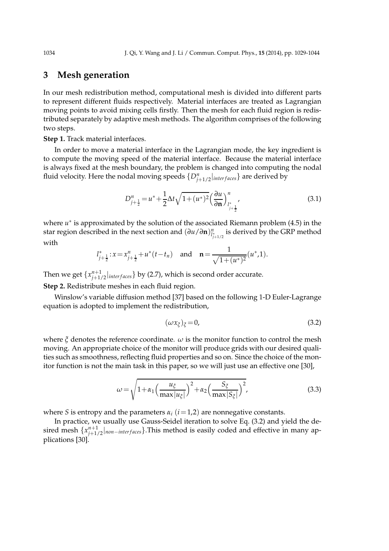## **3 Mesh generation**

In our mesh redistribution method, computational mesh is divided into different parts to represent different fluids respectively. Material interfaces are treated as Lagrangian moving points to avoid mixing cells firstly. Then the mesh for each fluid region is redistributed separately by adaptive mesh methods. The algorithm comprises of the following two steps.

**Step 1.** Track material interfaces.

In order to move a material interface in the Lagrangian mode, the key ingredient is to compute the moving speed of the material interface. Because the material interface is always fixed at the mesh boundary, the problem is changed into computing the nodal fluid velocity. Here the nodal moving speeds  $\{D^n_{j+1/2}|_{interfaces}\}$  are derived by

$$
D_{j+\frac{1}{2}}^{n} = u^{*} + \frac{1}{2}\Delta t \sqrt{1 + (u^{*})^{2}} \left(\frac{\partial u}{\partial \mathbf{n}}\right)_{l^{*}_{j+\frac{1}{2}}}^{n},\tag{3.1}
$$

where *u* ∗ is approximated by the solution of the associated Riemann problem (4.5) in the star region described in the next section and (*∂u*/*∂***n**) *n l* ∗ *j*+1/2 is derived by the GRP method with

$$
l_{j+\frac{1}{2}}^* : x = x_{j+\frac{1}{2}}^n + u^*(t - t_n)
$$
 and  $\mathbf{n} = \frac{1}{\sqrt{1 + (u^*)^2}} (u^*, 1).$ 

Then we get  $\{x_{j+1/2}^{n+1}\}_{interfaces}\}$  by (2.7), which is second order accurate.

**Step 2.** Redistribute meshes in each fluid region.

Winslow's variable diffusion method [37] based on the following 1-D Euler-Lagrange equation is adopted to implement the redistribution,

$$
(\omega x_{\xi})_{\xi} = 0, \tag{3.2}
$$

where  $\zeta$  denotes the reference coordinate.  $\omega$  is the monitor function to control the mesh moving. An appropriate choice of the monitor will produce grids with our desired qualities such as smoothness, reflecting fluid properties and so on. Since the choice of the monitor function is not the main task in this paper, so we will just use an effective one [30],

$$
\omega = \sqrt{1 + \alpha_1 \left(\frac{u_{\xi}}{\max|u_{\xi}|}\right)^2 + \alpha_2 \left(\frac{S_{\xi}}{\max|S_{\xi}|}\right)^2},\tag{3.3}
$$

where *S* is entropy and the parameters  $\alpha_i$  ( $i=1,2$ ) are nonnegative constants.

In practice, we usually use Gauss-Seidel iteration to solve Eq. (3.2) and yield the desired mesh  $\{x_{j+1/2}^{n+1}|_{non-interfaces}\}$ . This method is easily coded and effective in many applications [30].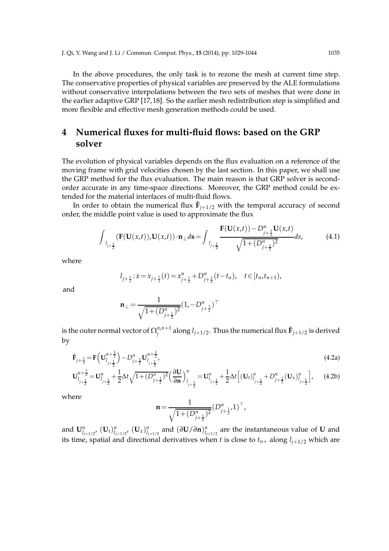In the above procedures, the only task is to rezone the mesh at current time step. The conservative properties of physical variables are preserved by the ALE formulations without conservative interpolations between the two sets of meshes that were done in the earlier adaptive GRP [17, 18]. So the earlier mesh redistribution step is simplified and more flexible and effective mesh generation methods could be used.

# **4 Numerical fluxes for multi-fluid flows: based on the GRP solver**

The evolution of physical variables depends on the flux evaluation on a reference of the moving frame with grid velocities chosen by the last section. In this paper, we shall use the GRP method for the flux evaluation. The main reason is that GRP solver is secondorder accurate in any time-space directions. Moreover, the GRP method could be extended for the material interfaces of multi-fluid flows.

In order to obtain the numerical flux  $\mathbf{\hat{F}}_{j+1/2}$  with the temporal accuracy of second order, the middle point value is used to approximate the flux

$$
\int_{l_{j+\frac{1}{2}}} (\mathbf{F}(\mathbf{U}(x,t)), \mathbf{U}(x,t)) \cdot \mathbf{n}_{\perp} d\mathbf{s} = \int_{l_{j+\frac{1}{2}}} \frac{\mathbf{F}(\mathbf{U}(x,t)) - D_{j+\frac{1}{2}}^n \mathbf{U}(x,t)}{\sqrt{1 + (D_{j+\frac{1}{2}}^n)^2}} ds,
$$
(4.1)

where

$$
l_{j+\frac{1}{2}}:x = x_{j+\frac{1}{2}}(t) = x_{j+\frac{1}{2}}^n + D_{j+\frac{1}{2}}^n(t - t_n), \quad t \in [t_n, t_{n+1}),
$$

and

$$
\mathbf{n}_{\perp} = \frac{1}{\sqrt{1 + (D_{j + \frac{1}{2}}^n)^2}} (1, -D_{j + \frac{1}{2}}^n)^{\top}
$$

is the outer normal vector of  $\Omega_i^{n,n+1}$  $j^{n,n+1}_j$  along  $l_{j+1/2}.$  Thus the numerical flux  $\mathbf{\hat{F}}_{j+1/2}$  is derived by

$$
\hat{\mathbf{F}}_{j+\frac{1}{2}} = \mathbf{F} \Big( \mathbf{U}_{l_{j+\frac{1}{2}}}^{n+\frac{1}{2}} \Big) - D_{j+\frac{1}{2}}^n \mathbf{U}_{l_{j+\frac{1}{2}}}^{n+\frac{1}{2}},
$$
\n
$$
\mathbf{U}_{l_{j+\frac{1}{2}}}^{n+\frac{1}{2}} = \mathbf{U}_{l_{j+\frac{1}{2}}}^n + \frac{1}{2} \Delta t \sqrt{1 + (D_{j+\frac{1}{2}}^n)^2} \Big( \frac{\partial \mathbf{U}}{\partial \mathbf{n}} \Big)_{l_{j+\frac{1}{2}}}^n = \mathbf{U}_{l_{j+\frac{1}{2}}}^n + \frac{1}{2} \Delta t \Big[ (\mathbf{U}_t)_{l_{j+\frac{1}{2}}}^n + D_{j+\frac{1}{2}}^n (\mathbf{U}_x)_{l_{j+\frac{1}{2}}}^n \Big],
$$
\n(4.2a)

where

$$
\mathbf{n} = \frac{1}{\sqrt{1 + (D_{j + \frac{1}{2}}^n)^2}} (D_{j + \frac{1}{2}}^n, 1)^\top,
$$

and  $\mathbf{U}^n_{l_{j+1/2}}$ ,  $(\mathbf{U}_t)_{l_{j+1/2}}^n$ ,  $(\mathbf{U}_x)_{l_{j+1/2}}^n$  and  $(\partial \mathbf{U}/\partial \mathbf{n})_{l_{j+1/2}}^n$  are the instantaneous value of  $\mathbf U$  and its time, spatial and directional derivatives when *t* is close to  $t_{n+}$  along  $l_{i+1/2}$  which are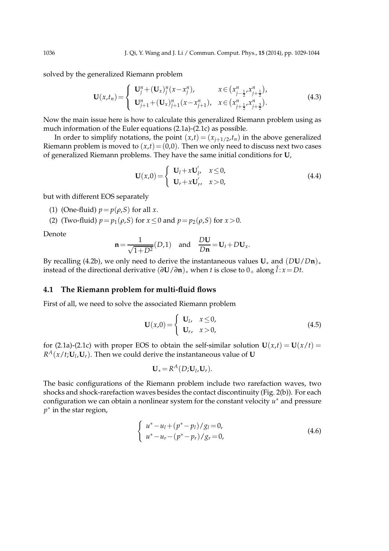solved by the generalized Riemann problem

$$
\mathbf{U}(x,t_n) = \begin{cases} \n\mathbf{U}_j^n + (\mathbf{U}_x)_j^n (x - x_j^n), & x \in (x_{j-\frac{1}{2}}^n, x_{j+\frac{1}{2}}^n), \\ \n\mathbf{U}_{j+1}^n + (\mathbf{U}_x)_{j+1}^n (x - x_{j+1}^n), & x \in (x_{j+\frac{1}{2}}^n, x_{j+\frac{3}{2}}^n). \n\end{cases}
$$
\n(4.3)

Now the main issue here is how to calculate this generalized Riemann problem using as much information of the Euler equations (2.1a)-(2.1c) as possible.

In order to simplify notations, the point  $(x,t) = (x_{j+1/2},t_n)$  in the above generalized Riemann problem is moved to  $(x,t) = (0,0)$ . Then we only need to discuss next two cases of generalized Riemann problems. They have the same initial conditions for **U**,

$$
\mathbf{U}(x,0) = \begin{cases} \mathbf{U}_l + x\mathbf{U}'_l, & x \le 0, \\ \mathbf{U}_r + x\mathbf{U}'_r, & x > 0, \end{cases}
$$
(4.4)

but with different EOS separately

- (1) (One-fluid)  $p = p(\rho, S)$  for all *x*.
- (2) (Two-fluid)  $p = p_1(\rho, S)$  for  $x \le 0$  and  $p = p_2(\rho, S)$  for  $x > 0$ .

Denote

$$
\mathbf{n} = \frac{1}{\sqrt{1+D^2}}(D,1) \quad \text{and} \quad \frac{D\mathbf{U}}{D\mathbf{n}} = \mathbf{U}_t + D\mathbf{U}_x.
$$

By recalling (4.2b), we only need to derive the instantaneous values  $U_*$  and  $(DU/Dn)_*$ instead of the directional derivative  $(\partial$ **U**/ $\partial$ **n**)<sub>\*</sub> when *t* is close to 0<sub>+</sub> along  $\hat{l}$  : *x* = *Dt*.

### **4.1 The Riemann problem for multi-fluid flows**

First of all, we need to solve the associated Riemann problem

$$
\mathbf{U}(x,0) = \begin{cases} \mathbf{U}_1, & x \le 0, \\ \mathbf{U}_r, & x > 0, \end{cases}
$$
 (4.5)

for (2.1a)-(2.1c) with proper EOS to obtain the self-similar solution  $U(x,t) = U(x/t) =$  $R^A(x/t; U_l, U_r)$ . Then we could derive the instantaneous value of **U** 

$$
\mathbf{U}_* = R^A(D; \mathbf{U}_l, \mathbf{U}_r).
$$

The basic configurations of the Riemann problem include two rarefaction waves, two shocks and shock-rarefaction waves besides the contact discontinuity (Fig. 2(b)). For each configuration we can obtain a nonlinear system for the constant velocity *u* ∗ and pressure *p* ∗ in the star region,

$$
\begin{cases}\n u^* - u_l + (p^* - p_l) / g_l = 0, \\
u^* - u_r - (p^* - p_r) / g_r = 0,\n\end{cases}
$$
\n(4.6)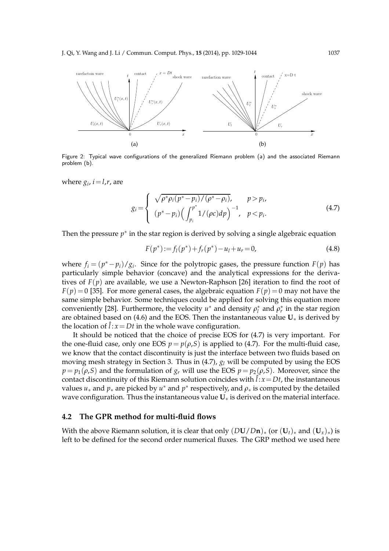

Figure 2: Typical wave configurations of the generalized Riemann problem (a) and the associated Riemann problem (b).

where  $g_i$ ,  $i = l$ , $r$ , are

$$
g_i = \begin{cases} \sqrt{\rho^* \rho_i (p^* - p_i) / (\rho^* - \rho_i)}, & p > p_i, \\ (p^* - p_i) \left( \int_{p_i}^{p^*} 1 / (\rho c) dp \right)^{-1}, & p < p_i. \end{cases}
$$
(4.7)

Then the pressure  $p^*$  in the star region is derived by solving a single algebraic equation

$$
F(p^*) := f_l(p^*) + f_r(p^*) - u_l + u_r = 0,
$$
\n(4.8)

where  $f_i = (p^* - p_i)/g_i$ . Since for the polytropic gases, the pressure function  $F(p)$  has particularly simple behavior (concave) and the analytical expressions for the derivatives of  $F(p)$  are available, we use a Newton-Raphson [26] iteration to find the root of  $F(p) = 0$  [35]. For more general cases, the algebraic equation  $F(p) = 0$  may not have the same simple behavior. Some techniques could be applied for solving this equation more conveniently [28]. Furthermore, the velocity  $u^*$  and density  $\rho_l^*$  and  $\rho_r^*$  in the star region are obtained based on (4.6) and the EOS. Then the instantaneous value  $U_*$  is derived by the location of  $\hat{l}$  :  $x = Dt$  in the whole wave configuration.

It should be noticed that the choice of precise EOS for (4.7) is very important. For the one-fluid case, only one EOS  $p = p(\rho, S)$  is applied to (4.7). For the multi-fluid case, we know that the contact discontinuity is just the interface between two fluids based on moving mesh strategy in Section 3. Thus in (4.7), *g<sup>l</sup>* will be computed by using the EOS  $p = p_1(\rho, S)$  and the formulation of  $g_r$  will use the EOS  $p = p_2(\rho, S)$ . Moreover, since the contact discontinuity of this Riemann solution coincides with  $\hat{l}$  :  $x$  = Dt, the instantaneous values  $u_*$  and  $p_*$  are picked by  $u^*$  and  $p^*$  respectively, and  $\rho_*$  is computed by the detailed wave configuration. Thus the instantaneous value **U**<sup>∗</sup> is derived on the material interface.

### **4.2 The GPR method for multi-fluid flows**

With the above Riemann solution, it is clear that only  $(DU/Dn)_*$  (or  $(U_t)_*$  and  $(U_x)_*$ ) is left to be defined for the second order numerical fluxes. The GRP method we used here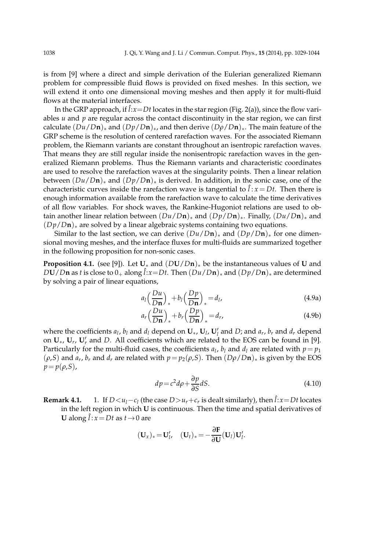is from [9] where a direct and simple derivation of the Eulerian generalized Riemann problem for compressible fluid flows is provided on fixed meshes. In this section, we will extend it onto one dimensional moving meshes and then apply it for multi-fluid flows at the material interfaces.

In the GRP approach, if  $\hat{l}:x=Dt$  locates in the star region (Fig. 2(a)), since the flow variables *u* and *p* are regular across the contact discontinuity in the star region, we can first calculate  $(Du/Dn)_*$  and  $(Dp/Dn)_*$ , and then derive  $(Dp/Dn)_*$ . The main feature of the GRP scheme is the resolution of centered rarefaction waves. For the associated Riemann problem, the Riemann variants are constant throughout an isentropic rarefaction waves. That means they are still regular inside the nonisentropic rarefaction waves in the generalized Riemann problems. Thus the Riemann variants and characteristic coordinates are used to resolve the rarefaction waves at the singularity points. Then a linear relation between  $(Du/Dn)_*$  and  $(Dp/Dn)_*$  is derived. In addition, in the sonic case, one of the characteristic curves inside the rarefaction wave is tangential to  $\hat{l}$  :  $x = Dt$ . Then there is enough information available from the rarefaction wave to calculate the time derivatives of all flow variables. For shock waves, the Rankine-Hugoniot relations are used to obtain another linear relation between  $(Du/Dn)_*$  and  $(Dp/Dn)_*$ . Finally,  $(Du/Dn)_*$  and (*Dp*/*D***n**)<sup>∗</sup> are solved by a linear algebraic systems containing two equations.

Similar to the last section, we can derive  $(Du/Dn)_*$  and  $(Dp/Dn)_*$  for one dimensional moving meshes, and the interface fluxes for multi-fluids are summarized together in the following proposition for non-sonic cases.

**Proposition 4.1.** (see [9]). Let **U**<sup>∗</sup> and (*D***U**/*D***n**)<sup>∗</sup> be the instantaneous values of **U** and  $DU/Dn$  as *t* is close to  $0_+$  along  $\hat{l}:x=Dt$ . Then  $(Du/Dn)_*$  and  $(Dp/Dn)_*$  are determined by solving a pair of linear equations,

$$
a_l \left(\frac{Du}{Dn}\right)_* + b_l \left(\frac{Dp}{Dn}\right)_* = d_l,\tag{4.9a}
$$

$$
a_r \left(\frac{Du}{Dn}\right)_* + b_r \left(\frac{Dp}{Dn}\right)_* = d_r,\tag{4.9b}
$$

where the coefficients  $a_l$ ,  $b_l$  and  $d_l$  depend on  $\mathbf{U}_*$ ,  $\mathbf{U}_l$ ,  $\mathbf{U}'_l$  and  $D$ ; and  $a_r$ ,  $b_r$  and  $d_r$  depend on  $U_*$ ,  $U'_r$ ,  $U'_r$  and *D*. All coefficients which are related to the EOS can be found in [9]. Particularly for the multi-fluid cases, the coefficients  $a_l$ ,  $b_l$  and  $d_l$  are related with  $p = p_1$  $(\rho, S)$  and  $a_r$ ,  $b_r$  and  $d_r$  are related with  $p = p_2(\rho, S)$ . Then  $(D\rho/Dn)_*$  is given by the EOS  $p = p(\rho, S)$ ,

$$
dp = c^2 d\rho + \frac{\partial p}{\partial S} dS.
$$
\n(4.10)

**Remark 4.1.** 1. If  $D < u_l - c_l$  (the case  $D > u_r + c_r$  is dealt similarly), then  $\hat{l}: x = Dt$  locates in the left region in which **U** is continuous. Then the time and spatial derivatives of **U** along  $\hat{l}: x = Dt$  as  $t \rightarrow 0$  are

$$
(\mathbf{U}_x)_* = \mathbf{U}'_l, \quad (\mathbf{U}_t)_* = -\frac{\partial \mathbf{F}}{\partial \mathbf{U}}(\mathbf{U}_l) \mathbf{U}'_l.
$$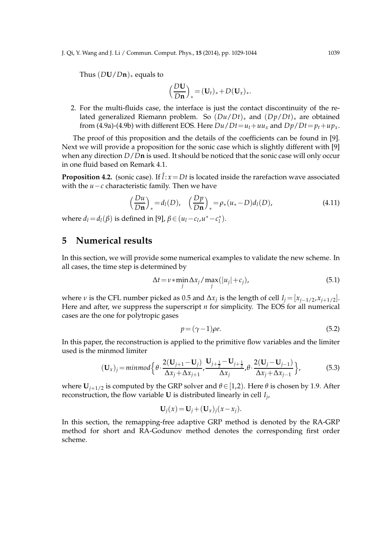J. Qi, Y. Wang and J. Li / Commun. Comput. Phys., **15** (2014), pp. 1029-1044 1039

Thus  $(DU/Dn)$ <sub>\*</sub> equals to

$$
\left(\frac{D\mathbf{U}}{D\mathbf{n}}\right)_* = (\mathbf{U}_t)_* + D(\mathbf{U}_x)_*.
$$

2. For the multi-fluids case, the interface is just the contact discontinuity of the related generalized Riemann problem. So (*Du*/*Dt*)<sup>∗</sup> and (*Dp*/*Dt*)<sup>∗</sup> are obtained from (4.9a)-(4.9b) with different EOS. Here  $Du/Dt = u_t + uu_x$  and  $Dp/Dt = p_t + up_x$ .

The proof of this proposition and the details of the coefficients can be found in [9]. Next we will provide a proposition for the sonic case which is slightly different with [9] when any direction *D*/*D***n** is used. It should be noticed that the sonic case will only occur in one fluid based on Remark 4.1.

**Proposition 4.2.** (sonic case). If  $\hat{l}: x = Dt$  is located inside the rarefaction wave associated with the *u*−*c* characteristic family. Then we have

$$
\left(\frac{Du}{Dn}\right)_* = d_l(D), \quad \left(\frac{Dp}{Dn}\right)_* = \rho_*(u_*-D)d_l(D), \tag{4.11}
$$

where  $d_l = d_l(\beta)$  is defined in [9],  $\beta \in (u_l - c_l, u^* - c_l^*)$ .

## **5 Numerical results**

In this section, we will provide some numerical examples to validate the new scheme. In all cases, the time step is determined by

$$
\Delta t = \nu * \min_{j} \Delta x_j / \max_{j} (|u_j| + c_j), \tag{5.1}
$$

where *ν* is the CFL number picked as 0.5 and  $\Delta x_j$  is the length of cell  $I_j = [x_{j-1/2}, x_{j+1/2}]$ . Here and after, we suppress the superscript *n* for simplicity. The EOS for all numerical cases are the one for polytropic gases

$$
p = (\gamma - 1)\rho e. \tag{5.2}
$$

In this paper, the reconstruction is applied to the primitive flow variables and the limiter used is the minmod limiter

$$
(\mathbf{U}_x)_j = \min \left\{ \theta \cdot \frac{2(\mathbf{U}_{j+1} - \mathbf{U}_j)}{\Delta x_j + \Delta x_{j+1}}, \frac{\mathbf{U}_{j+\frac{1}{2}} - \mathbf{U}_{j+\frac{1}{2}}}{\Delta x_j}, \theta \cdot \frac{2(\mathbf{U}_j - \mathbf{U}_{j-1})}{\Delta x_j + \Delta x_{j-1}} \right\},
$$
(5.3)

where  $U_{i+1/2}$  is computed by the GRP solver and  $\theta \in [1,2)$ . Here  $\theta$  is chosen by 1.9. After reconstruction, the flow variable **U** is distributed linearly in cell *I<sup>j</sup>* ,

$$
\mathbf{U}_j(x) = \mathbf{U}_j + (\mathbf{U}_x)_j(x - x_j).
$$

In this section, the remapping-free adaptive GRP method is denoted by the RA-GRP method for short and RA-Godunov method denotes the corresponding first order scheme.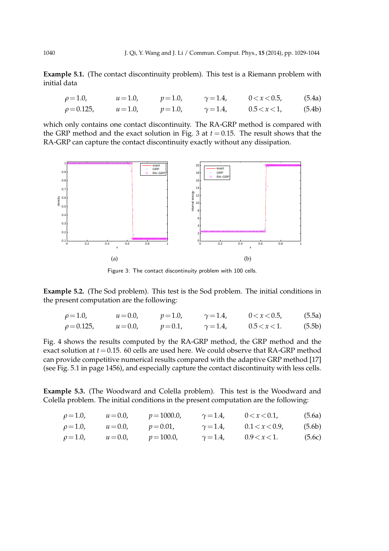**Example 5.1.** (The contact discontinuity problem). This test is a Riemann problem with initial data

$$
\rho = 1.0, \qquad u = 1.0, \qquad p = 1.0, \qquad \gamma = 1.4, \qquad 0 < x < 0.5, \qquad (5.4a)
$$
\n
$$
\rho = 0.125, \qquad u = 1.0, \qquad p = 1.0, \qquad \gamma = 1.4, \qquad 0.5 < x < 1, \qquad (5.4b)
$$

which only contains one contact discontinuity. The RA-GRP method is compared with the GRP method and the exact solution in Fig. 3 at  $t = 0.15$ . The result shows that the RA-GRP can capture the contact discontinuity exactly without any dissipation.



Figure 3: The contact discontinuity problem with 100 cells.

**Example 5.2.** (The Sod problem). This test is the Sod problem. The initial conditions in the present computation are the following:

| $\rho = 1.0,$    | $u = 0.0$ , | $p = 1.0$ | $\gamma = 1.4$ | 0 < x < 0.5     | (5.5a) |
|------------------|-------------|-----------|----------------|-----------------|--------|
| $\rho = 0.125$ , | $u = 0.0$ , | $p = 0.1$ | $\gamma = 1.4$ | $0.5 < x < 1$ . | (5.5b) |

Fig. 4 shows the results computed by the RA-GRP method, the GRP method and the exact solution at *t*=0.15. 60 cells are used here. We could observe that RA-GRP method can provide competitive numerical results compared with the adaptive GRP method [17] (see Fig. 5.1 in page 1456), and especially capture the contact discontinuity with less cells.

**Example 5.3.** (The Woodward and Colella problem). This test is the Woodward and Colella problem. The initial conditions in the present computation are the following:

| $\rho = 1.0,$ | $u = 0.0,$ | $p = 1000.0$ | $\gamma = 1.4$ | 0 < x < 0.1   | (5.6a) |
|---------------|------------|--------------|----------------|---------------|--------|
| $\rho = 1.0,$ | $u = 0.0,$ | $p = 0.01$ , | $\gamma = 1.4$ | 0.1 < x < 0.9 | (5.6b) |
| $\rho = 1.0,$ | $u = 0.0,$ | $p = 100.0$  | $\gamma = 1.4$ | 0.9 < x < 1.  | (5.6c) |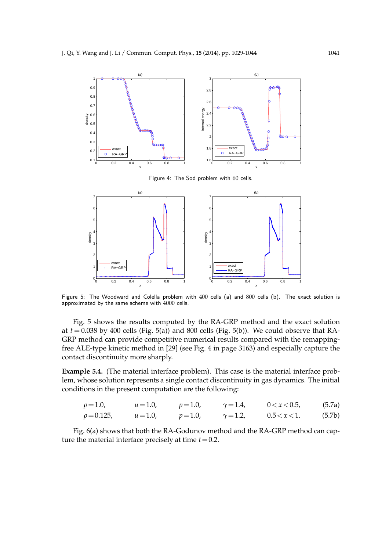

Figure 4: The Sod problem with 60 cells.



Figure 5: The Woodward and Colella problem with 400 cells (a) and 800 cells (b). The exact solution is approximated by the same scheme with 4000 cells.

Fig. 5 shows the results computed by the RA-GRP method and the exact solution at  $t = 0.038$  by 400 cells (Fig. 5(a)) and 800 cells (Fig. 5(b)). We could observe that RA-GRP method can provide competitive numerical results compared with the remappingfree ALE-type kinetic method in [29] (see Fig. 4 in page 3163) and especially capture the contact discontinuity more sharply.

**Example 5.4.** (The material interface problem). This case is the material interface problem, whose solution represents a single contact discontinuity in gas dynamics. The initial conditions in the present computation are the following:

$$
\rho = 1.0, \qquad u = 1.0, \qquad p = 1.0, \qquad \gamma = 1.4, \qquad 0 < x < 0.5, \qquad (5.7a)
$$
\n
$$
\rho = 0.125, \qquad u = 1.0, \qquad p = 1.0, \qquad \gamma = 1.2, \qquad 0.5 < x < 1. \tag{5.7b}
$$

Fig. 6(a) shows that both the RA-Godunov method and the RA-GRP method can capture the material interface precisely at time  $t = 0.2$ .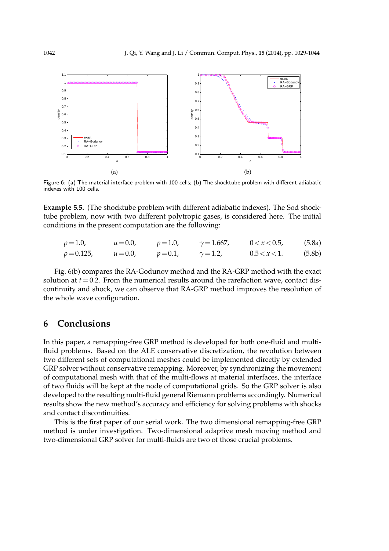

Figure 6: (a) The material interface problem with 100 cells; (b) The shocktube problem with different adiabatic indexes with 100 cells.

**Example 5.5.** (The shocktube problem with different adiabatic indexes). The Sod shocktube problem, now with two different polytropic gases, is considered here. The initial conditions in the present computation are the following:

| $\rho = 1.0$ ,   | $u = 0.0,$  | $p = 1.0$ | $\gamma = 1.667,$ | 0 < x < 0.5     | (5.8a) |
|------------------|-------------|-----------|-------------------|-----------------|--------|
| $\rho = 0.125$ , | $u = 0.0$ , | $p = 0.1$ | $\gamma = 1.2$    | $0.5 < x < 1$ . | (5.8b) |

Fig. 6(b) compares the RA-Godunov method and the RA-GRP method with the exact solution at  $t = 0.2$ . From the numerical results around the rarefaction wave, contact discontinuity and shock, we can observe that RA-GRP method improves the resolution of the whole wave configuration.

## **6 Conclusions**

In this paper, a remapping-free GRP method is developed for both one-fluid and multifluid problems. Based on the ALE conservative discretization, the revolution between two different sets of computational meshes could be implemented directly by extended GRP solver without conservative remapping. Moreover, by synchronizing the movement of computational mesh with that of the multi-flows at material interfaces, the interface of two fluids will be kept at the node of computational grids. So the GRP solver is also developed to the resulting multi-fluid general Riemann problems accordingly. Numerical results show the new method's accuracy and efficiency for solving problems with shocks and contact discontinuities.

This is the first paper of our serial work. The two dimensional remapping-free GRP method is under investigation. Two-dimensional adaptive mesh moving method and two-dimensional GRP solver for multi-fluids are two of those crucial problems.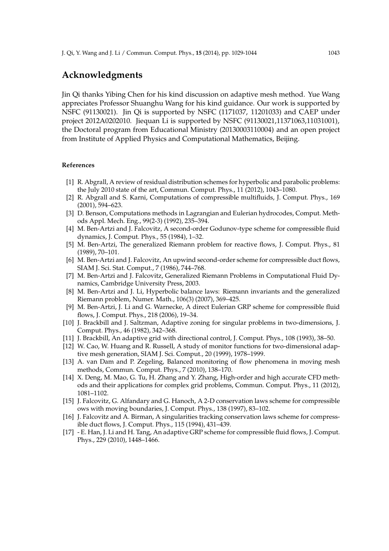## **Acknowledgments**

Jin Qi thanks Yibing Chen for his kind discussion on adaptive mesh method. Yue Wang appreciates Professor Shuanghu Wang for his kind guidance. Our work is supported by NSFC (91130021). Jin Qi is supported by NSFC (1171037, 11201033) and CAEP under project 2012A0202010. Jiequan Li is supported by NSFC (91130021,11371063,11031001), the Doctoral program from Educational Ministry (20130003110004) and an open project from Institute of Applied Physics and Computational Mathematics, Beijing.

#### **References**

- [1] R. Abgrall, A review of residual distribution schemes for hyperbolic and parabolic problems: the July 2010 state of the art, Commun. Comput. Phys., 11 (2012), 1043–1080.
- [2] R. Abgrall and S. Karni, Computations of compressible multifluids, J. Comput. Phys., 169 (2001), 594–623.
- [3] D. Benson, Computations methods in Lagrangian and Eulerian hydrocodes, Comput. Methods Appl. Mech. Eng., 99(2-3) (1992), 235–394.
- [4] M. Ben-Artzi and J. Falcovitz, A second-order Godunov-type scheme for compressible fluid dynamics, J. Comput. Phys., 55 (1984), 1–32.
- [5] M. Ben-Artzi, The generalized Riemann problem for reactive flows, J. Comput. Phys., 81 (1989), 70–101.
- [6] M. Ben-Artzi and J. Falcovitz, An upwind second-order scheme for compressible duct flows, SIAM J. Sci. Stat. Comput., 7 (1986), 744–768.
- [7] M. Ben-Artzi and J. Falcovitz, Generalized Riemann Problems in Computational Fluid Dynamics, Cambridge University Press, 2003.
- [8] M. Ben-Artzi and J. Li, Hyperbolic balance laws: Riemann invariants and the generalized Riemann problem, Numer. Math., 106(3) (2007), 369–425.
- [9] M. Ben-Artzi, J. Li and G. Warnecke, A direct Eulerian GRP scheme for compressible fluid flows, J. Comput. Phys., 218 (2006), 19–34.
- [10] J. Brackbill and J. Saltzman, Adaptive zoning for singular problems in two-dimensions, J. Comput. Phys., 46 (1982), 342–368.
- [11] J. Brackbill, An adaptive grid with directional control, J. Comput. Phys., 108 (1993), 38–50.
- [12] W. Cao, W. Huang and R. Russell, A study of monitor functions for two-dimensional adaptive mesh generation, SIAM J. Sci. Comput., 20 (1999), 1978–1999.
- [13] A. van Dam and P. Zegeling, Balanced monitoring of flow phenomena in moving mesh methods, Commun. Comput. Phys., 7 (2010), 138–170.
- [14] X. Deng, M. Mao, G. Tu, H. Zhang and Y. Zhang, High-order and high accurate CFD methods and their applications for complex grid problems, Commun. Comput. Phys., 11 (2012), 1081–1102.
- [15] J. Falcovitz, G. Alfandary and G. Hanoch, A 2-D conservation laws scheme for compressible ows with moving boundaries, J. Comput. Phys., 138 (1997), 83–102.
- [16] J. Falcovitz and A. Birman, A singularities tracking conservation laws scheme for compressible duct flows, J. Comput. Phys., 115 (1994), 431–439.
- [17] E. Han, J. Li and H. Tang, An adaptive GRP scheme for compressible fluid flows, J. Comput. Phys., 229 (2010), 1448–1466.